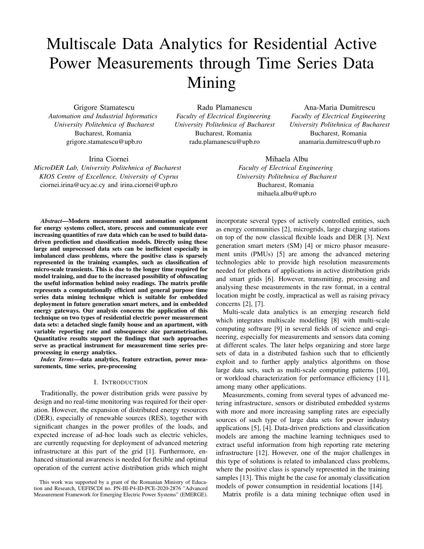# Multiscale Data Analytics for Residential Active Power Measurements through Time Series Data Mining

Grigore Stamatescu *Automation and Industrial Informatics University Politehnica of Bucharest* Bucharest, Romania grigore.stamatescu@upb.ro

Radu Plamanescu *Faculty of Electrical Engineering University Politehnica of Bucharest* Bucharest, Romania radu.plamanescu@upb.ro

Ana-Maria Dumitrescu *Faculty of Electrical Engineering University Politehnica of Bucharest* Bucharest, Romania anamaria.dumitrescu@upb.ro

Mihaela Albu *Faculty of Electrical Engineering University Politehnica of Bucharest* Bucharest, Romania mihaela.albu@upb.ro

Irina Ciornei *MicroDER Lab, University Politehnica of Bucharest KIOS Centre of Excellence, University of Cyprus* ciornei.irina@ucy.ac.cy and irina.ciornei@upb.ro

*Abstract*—Modern measurement and automation equipment for energy systems collect, store, process and communicate ever increasing quantities of raw data which can be used to build datadriven prediction and classification models. Directly using these large and unprocessed data sets can be inefficient especially in imbalanced class problems, where the positive class is sparsely represented in the training examples, such as classification of micro-scale transients. This is due to the longer time required for model training, and due to the increased possibility of obfuscating the useful information behind noisy readings. The matrix profile represents a computationally efficient and general purpose time series data mining technique which is suitable for embedded deployment in future generation smart meters, and in embedded energy gateways. Our analysis concerns the application of this technique on two types of residential electric power measurement data sets: a detached single family house and an apartment, with variable reporting rate and subsequence size parametrisation. Quantitative results support the findings that such approaches serve as practical instrument for measurement time series preprocessing in energy analytics.

*Index Terms*—data analytics, feature extraction, power measurements, time series, pre-processing

## I. INTRODUCTION

Traditionally, the power distribution grids were passive by design and no real-time monitoring was required for their operation. However, the expansion of distributed energy resources (DER), especially of renewable sources (RES), together with significant changes in the power profiles of the loads, and expected increase of ad-hoc loads such as electric vehicles, are currently requesting for deployment of advanced metering infrastructure at this part of the grid [1]. Furthermore, enhanced situational awareness is needed for flexible and optimal operation of the current active distribution grids which might

This work was supported by a grant of the Romanian Ministry of Education and Research, UEFISCDI no. PN-III-P4-ID-PCE-2020-2876 "Advanced Measurement Framework for Emerging Electric Power Systems" (EMERGE).

incorporate several types of actively controlled entities, such as energy communities [2], microgrids, large charging stations on top of the now classical flexible loads and DER [3]. Next generation smart meters (SM) [4] or micro phasor measurement units (PMUs) [5] are among the advanced metering technologies able to provide high resolution measurements needed for plethora of applications in active distribution grids and smart grids [6]. However, transmitting, processing and analysing these measurements in the raw format, in a central location might be costly, impractical as well as raising privacy concerns [2], [7].

Multi-scale data analytics is an emerging research field which integrates multiscale modelling [8] with multi-scale computing software [9] in several fields of science and engineering, especially for measurements and sensors data coming at different scales. The later helps organizing and store large sets of data in a distributed fashion such that to efficiently exploit and to further apply analytics algorithms on those large data sets, such as multi-scale computing patterns [10], or workload characterization for performance efficiency [11], among many other applications.

Measurements, coming from several types of advanced metering infrastructure, sensors or distributed embedded systems with more and more increasing sampling rates are especially sources of such type of large data sets for power industry applications [5], [4]. Data-driven predictions and classification models are among the machine learning techniques used to extract useful information from high reporting rate metering infrastructure [12]. However, one of the major challenges in this type of solutions is related to imbalanced class problems, where the positive class is sparsely represented in the training samples [13]. This might be the case for anomaly classification models of power consumption in residential locations [14].

Matrix profile is a data mining technique often used in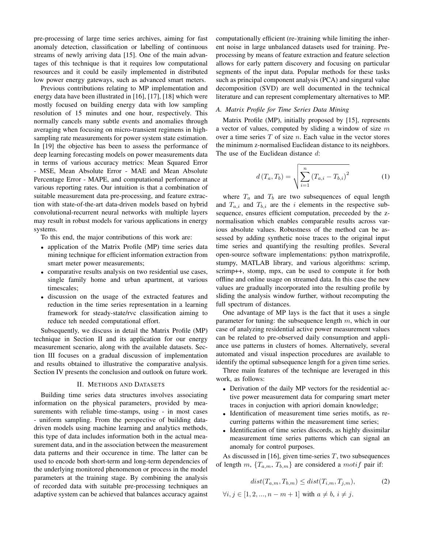pre-processing of large time series archives, aiming for fast anomaly detection, classification or labelling of continuous streams of newly arriving data [15]. One of the main advantages of this technique is that it requires low computational resources and it could be easily implemented in distributed low power energy gateways, such as advanced smart meters.

Previous contributions relating to MP implementation and energy data have been illustrated in [16], [17], [18] which were mostly focused on building energy data with low sampling resolution of 15 minutes and one hour, respectively. This normally cancels many subtle events and anomalies through averaging when focusing on micro-transient regimens in highsampling rate measurements for power system state estimation. In [19] the objective has been to assess the performance of deep learning forecasting models on power measurements data in terms of various accuracy metrics: Mean Squared Error - MSE, Mean Absolute Error - MAE and Mean Absolute Percentage Error - MAPE, and computational performance at various reporting rates. Our intuition is that a combination of suitable measurement data pre-processing, and feature extraction with state-of-the-art data-driven models based on hybrid convolutional-recurrent neural networks with multiple layers may result in robust models for various applications in energy systems.

To this end, the major contributions of this work are:

- application of the Matrix Profile (MP) time series data mining technique for efficient information extraction from smart meter power measurements;
- comparative results analysis on two residential use cases, single family home and urban apartment, at various timescales;
- discussion on the usage of the extracted features and reduction in the time series representation in a learning framework for steady-state/rvc classification aiming to reduce teh needed computational effort.

Subsequently, we discuss in detail the Matrix Profile (MP) technique in Section II and its application for our energy measurement scenario, along with the available datasets. Section III focuses on a gradual discussion of implementation and results obtained to illustrative the comparative analysis. Section IV presents the conclusion and outlook on future work.

### II. METHODS AND DATASETS

Building time series data structures involves associating information on the physical parameters, provided by measurements with reliable time-stamps, using - in most cases - uniform sampling. From the perspective of building datadriven models using machine learning and analytics methods, this type of data includes information both in the actual measurement data, and in the association between the measurement data patterns and their occurence in time. The latter can be used to encode both short-term and long-term dependencies of the underlying monitored phenomenon or process in the model parameters at the training stage. By combining the analysis of recorded data with suitable pre-processing techniques an adaptive system can be achieved that balances accuracy against

computationally efficient (re-)training while limiting the inherent noise in large unbalanced datasets used for training. Preprocessing by means of feature extraction and feature selection allows for early pattern discovery and focusing on particular segments of the input data. Popular methods for these tasks such as principal component analysis (PCA) and singural value decomposition (SVD) are well documented in the technical literature and can represent complementary alternatives to MP.

# *A. Matrix Profile for Time Series Data Mining*

Matrix Profile (MP), initially proposed by [15], represents a vector of values, computed by sliding a window of size  $m$ over a time series  $T$  of size  $n$ . Each value in the vector stores the minimum z-normalised Euclidean distance to its neighbors. The use of the Euclidean distance d:

$$
d(T_a, T_b) = \sqrt{\sum_{i=1}^{n} (T_{a,i} - T_{b,i})^2}
$$
 (1)

where  $T_a$  and  $T_b$  are two subsequences of equal length and  $T_{a,i}$  and  $T_{b,i}$  are the i elements in the respective subsequence, ensures efficient computation, preceeded by the znormalisation which enables comparable results across various absolute values. Robustness of the method can be assessed by adding synthetic noise traces to the original input time series and quantifying the resulting profiles. Several open-source software implementations: python matrixprofile, stumpy, MATLAB library, and various algorithms: scrimp, scrimp++, stomp, mpx, can be used to compute it for both offline and online usage on streamed data. In this case the new values are gradually incorporated into the resulting profile by sliding the analysis window further, without recomputing the full spectrum of distances.

One advantage of MP lays is the fact that it uses a single parameter for tuning: the subsequence length  $m$ , which in our case of analyzing residential active power measurement values can be related to pre-observed daily consumption and appliance use patterns in clusters of homes. Alternatively, several automated and visual inspection procedures are available to identify the optimal subsequence length for a given time series.

Three main features of the technique are leveraged in this work, as follows:

- Derivation of the daily MP vectors for the residential active power measurement data for comparing smart meter traces in conjuction with apriori domain knowledge;
- Identification of measurement time series motifs, as recurring patterns within the measurement time series;
- Identification of time series discords, as highly dissimilar measurement time series patterns which can signal an anomaly for control purposes.

As discussed in [16], given time-series  $T$ , two subsequences of length m,  $\{T_{a,m}, T_{b,m}\}$  are considered a *motif* pair if:

$$
dist(T_{a,m}, T_{b,m}) \leq dist(T_{i,m}, T_{j,m}),
$$
  
\n
$$
\forall i, j \in [1, 2, ..., n-m+1] \text{ with } a \neq b, i \neq j.
$$
 (2)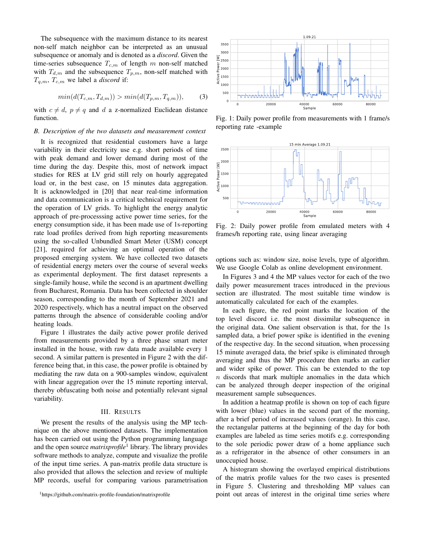The subsequence with the maximum distance to its nearest non-self match neighbor can be interpreted as an unusual subsequence or anomaly and is denoted as a *discord*. Given the time-series subsequence  $T_{c,m}$  of length m non-self matched with  $T_{d,m}$  and the subsequence  $T_{p,m}$ , non-self matched with  $T_{q,m}$ ,  $T_{c,m}$  we label a *discord* if:

$$
min(d(T_{c,m}, T_{d,m})) > min(d(T_{p,m}, T_{q,m})),
$$
 (3)

with  $c \neq d$ ,  $p \neq q$  and d a z-normalized Euclidean distance function.

#### *B. Description of the two datasets and measurement context*

It is recognized that residential customers have a large variability in their electricity use e.g. short periods of time with peak demand and lower demand during most of the time during the day. Despite this, most of network impact studies for RES at LV grid still rely on hourly aggregated load or, in the best case, on 15 minutes data aggregation. It is acknowledged in [20] that near real-time information and data communication is a critical technical requirement for the operation of LV grids. To highlight the energy analytic approach of pre-processsing active power time series, for the energy consumption side, it has been made use of 1s-reporting rate load profiles derived from high reporting measurements using the so-called Unbundled Smart Meter (USM) concept [21], required for achieving an optimal operation of the proposed emerging system. We have collected two datasets of residential energy meters over the course of several weeks as experimental deployment. The first dataset represents a single-family house, while the second is an apartment dwelling from Bucharest, Romania. Data has been collected in shoulder season, corresponding to the month of September 2021 and 2020 respectively, which has a neutral impact on the observed patterns through the absence of considerable cooling and/or heating loads.

Figure 1 illustrates the daily active power profile derived from measurements provided by a three phase smart meter installed in the house, with raw data made available every 1 second. A similar pattern is presented in Figure 2 with the difference being that, in this case, the power profile is obtained by mediating the raw data on a 900-samples window, equivalent with linear aggregation over the 15 minute reporting interval, thereby obfuscating both noise and potentially relevant signal variability.

## III. RESULTS

We present the results of the analysis using the MP technique on the above mentioned datasets. The implementation has been carried out using the Python programming language and the open source *matrixprofile*<sup>1</sup> library. The library provides software methods to analyze, compute and visualize the profile of the input time series. A pan-matrix profile data structure is also provided that allows the selection and review of multiple MP records, useful for comparing various parametrisation





Fig. 1: Daily power profile from measurements with 1 frame/s reporting rate -example



Fig. 2: Daily power profile from emulated meters with 4 frames/h reporting rate, using linear averaging

options such as: window size, noise levels, type of algorithm. We use Google Colab as online development environment.

In Figures 3 and 4 the MP values vector for each of the two daily power measurement traces introduced in the previous section are illustrated. The most suitable time window is automatically calculated for each of the examples.

In each figure, the red point marks the location of the top level discord i.e. the most dissimilar subsequence in the original data. One salient observation is that, for the 1s sampled data, a brief power spike is identified in the evening of the respective day. In the second situation, when processing 15 minute averaged data, the brief spike is eliminated through averaging and thus the MP procedure then marks an earlier and wider spike of power. This can be extended to the top  $n$  discords that mark multiple anomalies in the data which can be analyzed through deeper inspection of the original measurement sample subsequences.

In addition a heatmap profile is shown on top of each figure with lower (blue) values in the second part of the morning, after a brief period of increased values (orange). In this case, the rectangular patterns at the beginning of the day for both examples are labeled as time series motifs e.g. corresponding to the sole periodic power draw of a home appliance such as a refrigerator in the absence of other consumers in an unoccupied house.

A histogram showing the overlayed empirical distributions of the matrix profile values for the two cases is presented in Figure 5. Clustering and thresholding MP values can point out areas of interest in the original time series where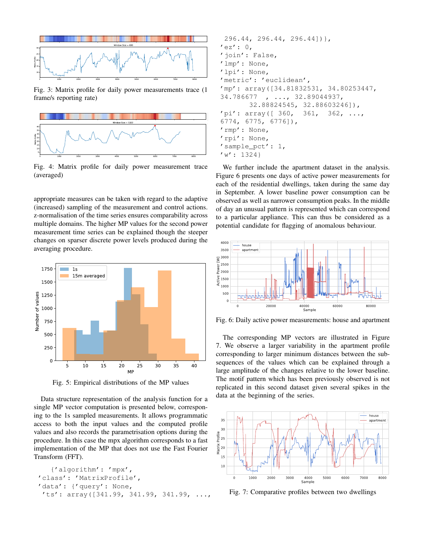

Fig. 3: Matrix profile for daily power measurements trace (1 frame/s reporting rate)



Fig. 4: Matrix profile for daily power measurement trace (averaged)

appropriate measures can be taken with regard to the adaptive (increased) sampling of the measurement and control actions. z-normalisation of the time series ensures comparability across multiple domains. The higher MP values for the second power measurement time series can be explained though the steeper changes on sparser discrete power levels produced during the averaging procedure.



Fig. 5: Empirical distributions of the MP values

Data structure representation of the analysis function for a single MP vector computation is presented below, corresponing to the 1s sampled measurements. It allows programmatic access to both the input values and the computed profile values and also records the parametrisation options during the procedure. In this case the mpx algorithm corresponds to a fast implementation of the MP that does not use the Fast Fourier Transform (FFT).

```
{'algorithm': 'mpx',
'class': 'MatrixProfile',
'data': {'query': None,
'ts': array([341.99, 341.99, 341.99, ...,
```

```
296.44, 296.44, 296.44])},
'ez': 0,'join': False,
'lmp': None,
'lpi': None,
'metric': 'euclidean',
'mp': array([34.81832531, 34.80253447,
34.786677 , ..., 32.89044937,
       32.88824545, 32.88603246]),
'pi': array([ 360, 361, 362, ...,
6774, 6775, 6776]),
'rmp': None,
'rpi': None,
'sample_pct': 1,
'w': 1324
```
We further include the apartment dataset in the analysis. Figure 6 presents one days of active power measurements for each of the residential dwellings, taken during the same day in September. A lower baseline power consumption can be observed as well as narrower consumption peaks. In the middle of day an unusual pattern is represented which can correspond to a particular appliance. This can thus be considered as a potential candidate for flagging of anomalous behaviour.



Fig. 6: Daily active power measurements: house and apartment

The corresponding MP vectors are illustrated in Figure 7. We observe a larger variability in the apartment profile corresponding to larger minimum distances between the subsequences of the values which can be explained through a large amplitude of the changes relative to the lower baseline. The motif pattern which has been previously observed is not replicated in this second dataset given several spikes in the data at the beginning of the series.



Fig. 7: Comparative profiles between two dwellings